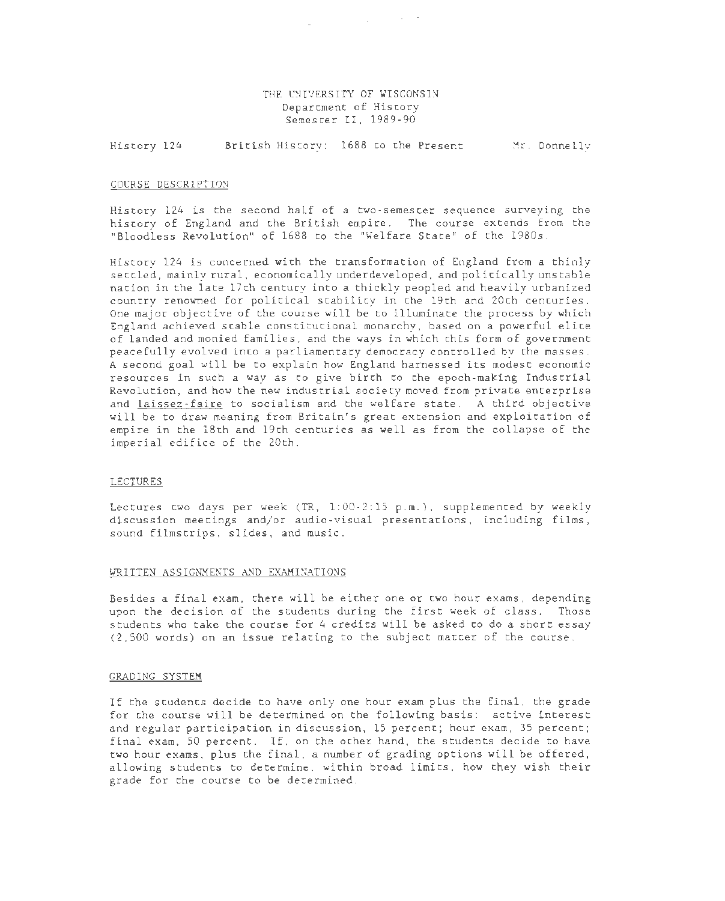# THE UNIVERSITY OF WISCONSIN Department of History Semester II, 1989-90

 $\sim$  .  $\sim$   $\sim$   $\sim$   $\sim$   $\sim$   $\sim$ 

History 124 British History: 1688 to the Present Mr. Donnelly

## COURSE DESCRIPTION

History 124 is the second half of a two-semester sequence surveying the history of England and the British empire. The course extends from the "Bloodless Revolution" of 1688 to the "Welfare State" of the 1980s.

History 124 is concerned with the transformation of England from a thinly settled, mainly rural, economically underdeveloped, and politically unstable nation in the late 17th century into a thickly peopled and heavily urbanized country renowned for political stability in the 19th and 20th centuries. One major objective of the course will be to illuminate the process by which England achieved stable constitutional monarchy, based on a powerful elite of landed and monied families, and the ways in which this form of government peacefully evolved into a parliamentary democracy controlled by the masses. A second goal will be to explain how England harnessed its modest economic resources in such a way as to give birth to the epoch-making Industrial Revolution, and how the new industrial society moved from private enterprise and laissez-faire to socialism and the welfare state. A third objective will be to draw meaning from Britain's great extension and exploitation of empire in the 18th and 19th centuries as well as from the collapse of the imperial edifice of the 20th.

### LECTURES

Lectures two days per week (TR, 1:00-2:15 p.m.), supplemented by weekly discussion meetings and/or audio-visual presentations, including films, sound filmstrips, slides, and music.

#### WRITTEN ASSIGNMENTS AND EXAMINATIONS

Besides a final exam, there will be either one or two hour exams, depending upon the decision of the students during the first week of class. Those students who take the course for 4 credits will be asked to do a short essay (2,500 words) on an issue relating to the subject matter of the course.

#### GRADING SYSTEM

If the students decide to have only one hour exam plus the final, the grade for the course will be determined on the following basis: active interest and regular participation in discussion, 15 percent; hour exam, 35 percent; final exam, 50 percent. If, on the other hand, the students decide to have two hour exams, plus the final, a number of grading options will be offered, allowing students to determine, within broad limits, how they wish their grade for the course to be determined.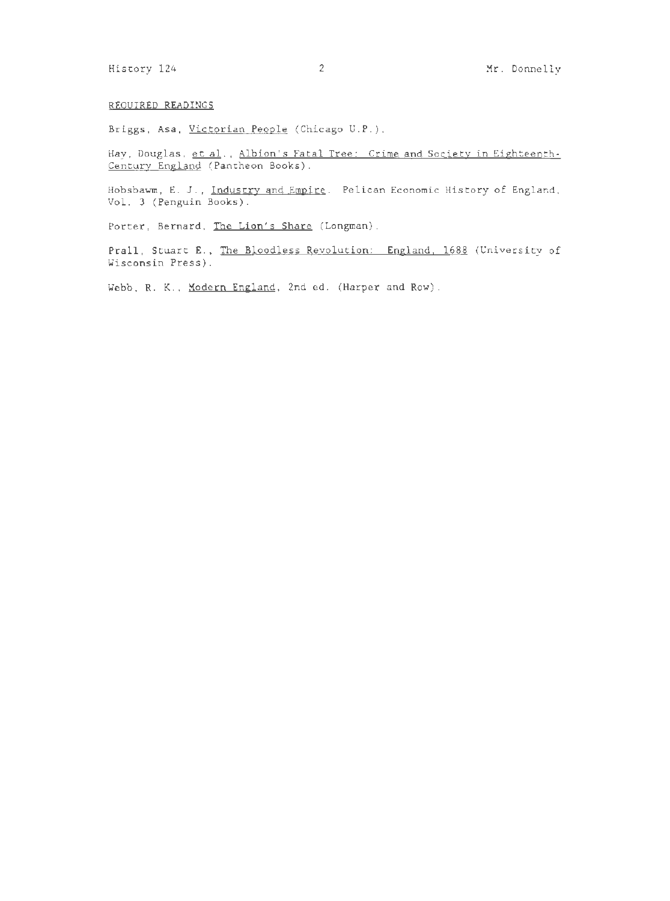## REQUIRED READINGS

Briggs, Asa, Victorian People (Chicago U.P.).

Hay, Douglas, et al., Albion's Fatal Tree: Crime and Society in Eighteenth-Century England (Pantheon Books).

Hobsbawm, E. J., Industry and Empire. Pelican Economic History of England, Vol. 3 (Penguin Books).

Porter, Bernard, The Lion's Share (Longman).

Prall, Stuart E., The Bloodless Revolution: England, 1688 (University of Wisconsin Press).

Webb, R. K., Modern England, 2nd ed. (Harper and Row).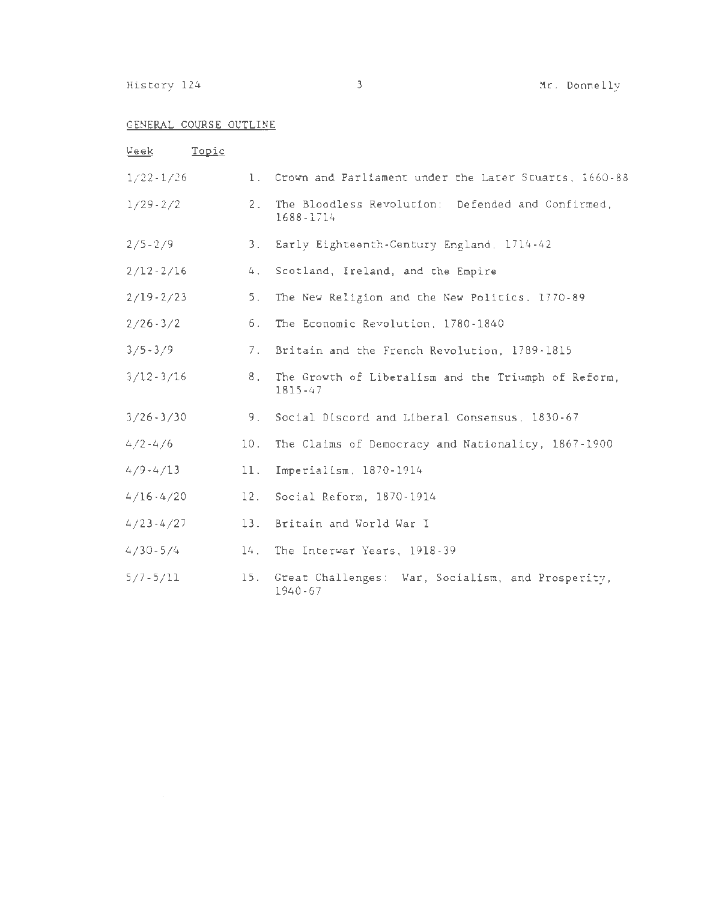History 124 3 3 Mr. Donnelly

# GENERAL COURSE OUTLINE

| <u>Week</u>   | Topic                              |                |                                                                    |
|---------------|------------------------------------|----------------|--------------------------------------------------------------------|
| $1/22 - 1/26$ |                                    | $1$ .          | Crown and Parliament under the Later Stuarts, 1660-88              |
| $1/29 - 2/2$  |                                    | 2.             | The Bloodless Revolution: Defended and Confirmed,<br>1688-1714     |
| $2/5 - 2/9$   |                                    | 3 <sub>1</sub> | Early Eighteenth-Century England, 1714-42                          |
| $2/12 - 2/16$ |                                    | 4.             | Scotland, Ireland, and the Empire                                  |
| $2/19 - 2/23$ |                                    | 5.             | The New Religion and the New Politics, 1770-89                     |
| $2/26 - 3/2$  |                                    | 6.             | The Economic Revolution, 1780-1840                                 |
| $3/5 - 3/9$   |                                    | 7.             | Britain and the French Revolution, 1789-1815                       |
| $3/12 - 3/16$ |                                    | 8 <sub>1</sub> | The Growth of Liberalism and the Triumph of Reform,<br>$1815 - 47$ |
| $3/26 - 3/30$ |                                    | 9.             | Social Discord and Liberal Consensus, 1830-67                      |
| $4/2 - 4/6$   |                                    | 10.            | The Claims of Democracy and Nationality, 1867-1900                 |
| 4/9.4/13      |                                    | 11.            | Imperialism, 1870-1914                                             |
| $4/16 - 4/20$ |                                    | 12.            | Social Reform, 1870-1914                                           |
| $4/23 - 4/27$ |                                    | 13.            | Britain and World War I                                            |
| $4/30 - 5/4$  | 14.<br>The Interwar Years, 1918-39 |                |                                                                    |
| $5/7 - 5/11$  |                                    | 15.            | Great Challenges: War, Socialism, and Prosperity,<br>1940-67       |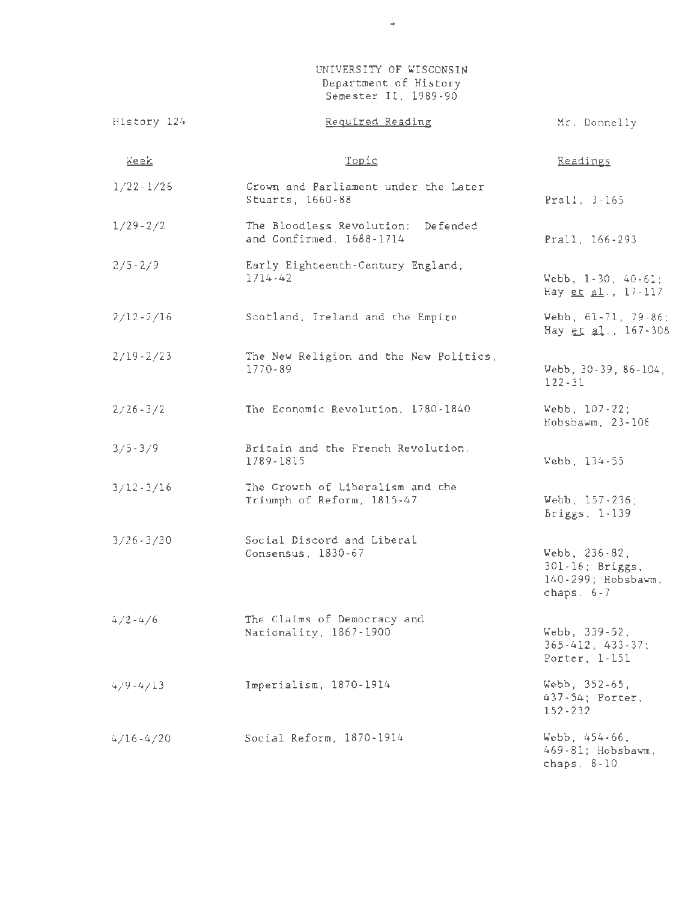UNIVERSITY OF WISCONSIN Department of History Semester II, 1989-90

| History 124   | Required Reading                                               | Mr. Donnelly                                                                |
|---------------|----------------------------------------------------------------|-----------------------------------------------------------------------------|
| Week          | Topic                                                          | Readings                                                                    |
| $1/22 - 1/26$ | Crown and Parliament under the Later<br>Stuarts, 1660-88       | Prall, 3-165                                                                |
| $1/29 - 2/2$  | The Bloodless Revolution: Defended<br>and Confirmed, 1688-1714 | Prall, 166-293                                                              |
| $2/5 - 2/9$   | Early Eighteenth-Century England,<br>$1714 - 42$               | Webb, $1-30$ , $40-61$ ;<br>Hay et al., 17-117                              |
| $2/12 - 2/16$ | Scotland, Ireland and the Empire                               | Webb, 61-71, 79-86;<br>Hay et al., 167-308                                  |
| $2/19 - 2/23$ | The New Religion and the New Politics,<br>1770-89              | Webb, 30-39, 86-104,<br>$122 - 31$                                          |
| $2/26 - 3/2$  | The Economic Revolution, 1780-1840                             | Webb, 107-22;<br>Hobsbawm, 23-108                                           |
| $3/5 - 3/9$   | Britain and the French Revolution,<br>1789-1815                | Webb, 134-55                                                                |
| $3/12 - 3/16$ | The Growth of Liberalism and the<br>Triumph of Reform, 1815-47 | Webb, 157-236;<br>Briggs, 1-139                                             |
| $3/26 - 3/30$ | Social Discord and Liberal<br>Consensus, 1830-67               | Webb, $236 - 82$ ,<br>301-16; Briggs,<br>140-299; Hobsbawm,<br>chaps. $6-7$ |
| $4/2 - 4/6$   | The Claims of Democracy and<br>Nationality, 1867-1900          | Webb, 339-52,<br>$365 - 412$ , $433 - 37$ ;<br>Porter, $1-151$              |
| $4/9 - 4/13$  | Imperialism, 1870-1914                                         | Webb, 352-65,<br>437-54; Porter,<br>$152 - 232$                             |
| $4/16 - 4/20$ | Social Reform, 1870-1914                                       | Webb, 454-66,<br>469-81; Hobsbawm,<br>chaps. $8-10$                         |